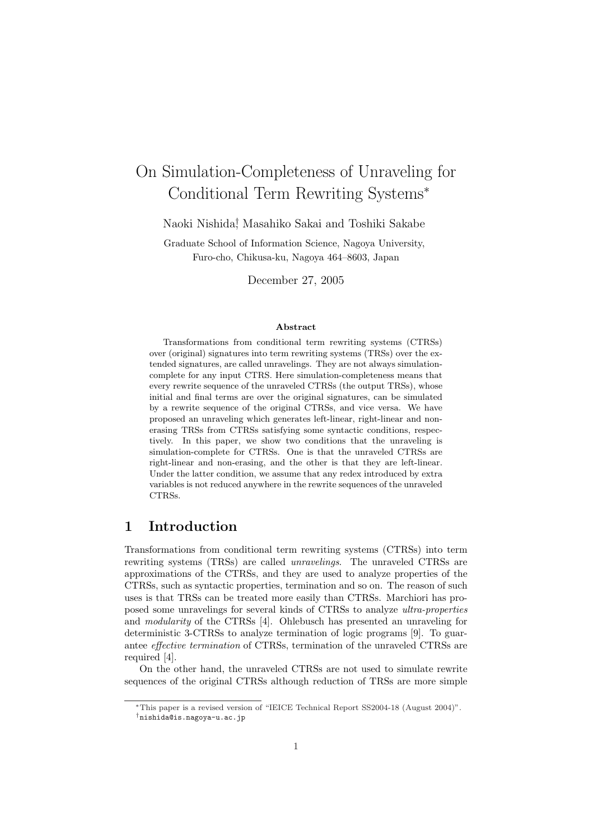# On Simulation-Completeness of Unraveling for Conditional Term Rewriting Systems*<sup>∗</sup>*

Naoki Nishida*†* , Masahiko Sakai and Toshiki Sakabe

Graduate School of Information Science, Nagoya University, Furo-cho, Chikusa-ku, Nagoya 464–8603, Japan

December 27, 2005

#### **Abstract**

Transformations from conditional term rewriting systems (CTRSs) over (original) signatures into term rewriting systems (TRSs) over the extended signatures, are called unravelings. They are not always simulationcomplete for any input CTRS. Here simulation-completeness means that every rewrite sequence of the unraveled CTRSs (the output TRSs), whose initial and final terms are over the original signatures, can be simulated by a rewrite sequence of the original CTRSs, and vice versa. We have proposed an unraveling which generates left-linear, right-linear and nonerasing TRSs from CTRSs satisfying some syntactic conditions, respectively. In this paper, we show two conditions that the unraveling is simulation-complete for CTRSs. One is that the unraveled CTRSs are right-linear and non-erasing, and the other is that they are left-linear. Under the latter condition, we assume that any redex introduced by extra variables is not reduced anywhere in the rewrite sequences of the unraveled CTRSs.

## **1 Introduction**

Transformations from conditional term rewriting systems (CTRSs) into term rewriting systems (TRSs) are called *unravelings*. The unraveled CTRSs are approximations of the CTRSs, and they are used to analyze properties of the CTRSs, such as syntactic properties, termination and so on. The reason of such uses is that TRSs can be treated more easily than CTRSs. Marchiori has proposed some unravelings for several kinds of CTRSs to analyze *ultra-properties* and *modularity* of the CTRSs [4]. Ohlebusch has presented an unraveling for deterministic 3-CTRSs to analyze termination of logic programs [9]. To guarantee *effective termination* of CTRSs, termination of the unraveled CTRSs are required [4].

On the other hand, the unraveled CTRSs are not used to simulate rewrite sequences of the original CTRSs although reduction of TRSs are more simple

*<sup>∗</sup>*This paper is a revised version of "IEICE Technical Report SS2004-18 (August 2004)". *†*nishida@is.nagoya-u.ac.jp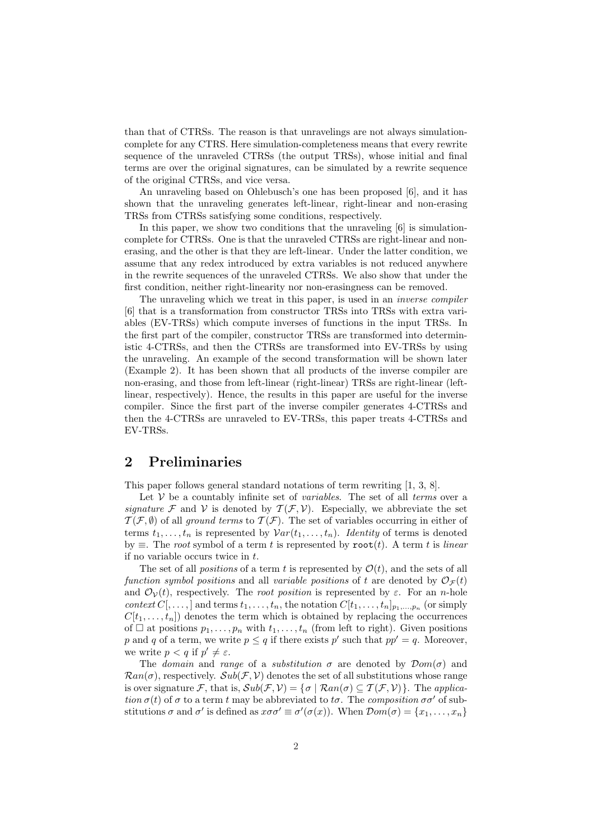than that of CTRSs. The reason is that unravelings are not always simulationcomplete for any CTRS. Here simulation-completeness means that every rewrite sequence of the unraveled CTRSs (the output TRSs), whose initial and final terms are over the original signatures, can be simulated by a rewrite sequence of the original CTRSs, and vice versa.

An unraveling based on Ohlebusch's one has been proposed [6], and it has shown that the unraveling generates left-linear, right-linear and non-erasing TRSs from CTRSs satisfying some conditions, respectively.

In this paper, we show two conditions that the unraveling [6] is simulationcomplete for CTRSs. One is that the unraveled CTRSs are right-linear and nonerasing, and the other is that they are left-linear. Under the latter condition, we assume that any redex introduced by extra variables is not reduced anywhere in the rewrite sequences of the unraveled CTRSs. We also show that under the first condition, neither right-linearity nor non-erasingness can be removed.

The unraveling which we treat in this paper, is used in an *inverse compiler* [6] that is a transformation from constructor TRSs into TRSs with extra variables (EV-TRSs) which compute inverses of functions in the input TRSs. In the first part of the compiler, constructor TRSs are transformed into deterministic 4-CTRSs, and then the CTRSs are transformed into EV-TRSs by using the unraveling. An example of the second transformation will be shown later (Example 2). It has been shown that all products of the inverse compiler are non-erasing, and those from left-linear (right-linear) TRSs are right-linear (leftlinear, respectively). Hence, the results in this paper are useful for the inverse compiler. Since the first part of the inverse compiler generates 4-CTRSs and then the 4-CTRSs are unraveled to EV-TRSs, this paper treats 4-CTRSs and EV-TRSs.

## **2 Preliminaries**

This paper follows general standard notations of term rewriting [1, 3, 8].

Let *V* be a countably infinite set of *variables*. The set of all *terms* over a *signature*  $\mathcal F$  and  $\mathcal V$  is denoted by  $\mathcal T(\mathcal F,\mathcal V)$ . Especially, we abbreviate the set  $T(\mathcal{F}, \emptyset)$  of all *ground terms* to  $T(\mathcal{F})$ . The set of variables occurring in either of terms  $t_1, \ldots, t_n$  is represented by  $Var(t_1, \ldots, t_n)$ . *Identity* of terms is denoted by *≡*. The *root* symbol of a term *t* is represented by root(*t*). A term *t* is *linear* if no variable occurs twice in *t*.

The set of all *positions* of a term *t* is represented by  $\mathcal{O}(t)$ , and the sets of all *function symbol positions* and all *variable positions* of *t* are denoted by  $\mathcal{O}_{\mathcal{F}}(t)$ and  $\mathcal{O}_V(t)$ , respectively. The *root position* is represented by  $\varepsilon$ . For an *n*-hole *context*  $C$ [,...,] and terms  $t_1, \ldots, t_n$ , the notation  $C[t_1, \ldots, t_n]_{p_1, \ldots, p_n}$  (or simply  $C[t_1, \ldots, t_n]$  denotes the term which is obtained by replacing the occurrences of  $\Box$  at positions  $p_1, \ldots, p_n$  with  $t_1, \ldots, t_n$  (from left to right). Given positions *p* and *q* of a term, we write  $p \le q$  if there exists  $p'$  such that  $pp' = q$ . Moreover, we write  $p < q$  if  $p' \neq \varepsilon$ .

The *domain* and *range* of a *substitution*  $\sigma$  are denoted by  $\mathcal{D}om(\sigma)$  and  $\mathcal{R}an(\sigma)$ , respectively.  $\mathcal{S}ub(\mathcal{F}, \mathcal{V})$  denotes the set of all substitutions whose range is over signature *F*, that is,  $Sub(\mathcal{F}, \mathcal{V}) = \{ \sigma \mid \mathcal{R}an(\sigma) \subseteq \mathcal{T}(\mathcal{F}, \mathcal{V}) \}$ . The *application*  $\sigma(t)$  of  $\sigma$  to a term *t* may be abbreviated to  $t\sigma$ . The *composition*  $\sigma\sigma'$  of substitutions  $\sigma$  and  $\sigma'$  is defined as  $x\sigma\sigma' \equiv \sigma'(\sigma(x))$ . When  $\mathcal{D}om(\sigma) = \{x_1, \ldots, x_n\}$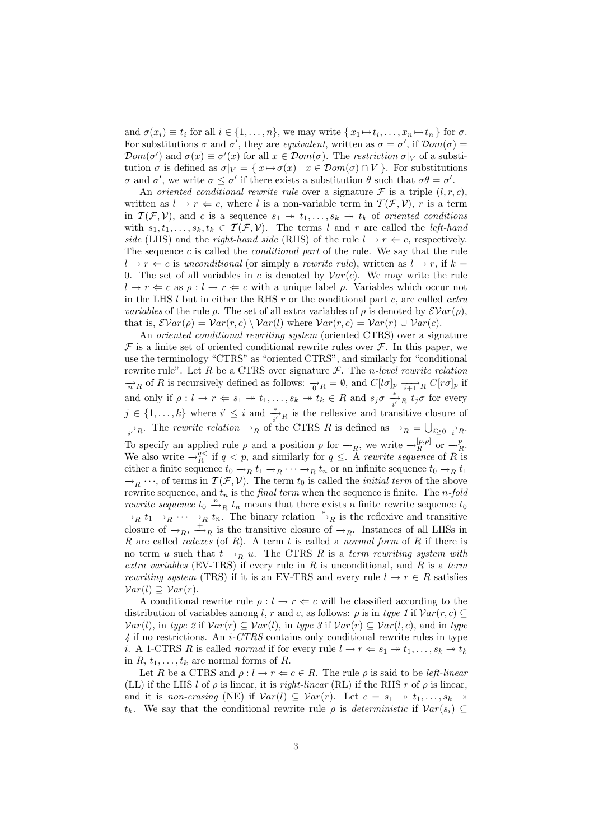and  $\sigma(x_i) \equiv t_i$  for all  $i \in \{1, ..., n\}$ , we may write  $\{x_1 \mapsto t_i, ..., x_n \mapsto t_n\}$  for  $\sigma$ . For substitutions  $\sigma$  and  $\sigma'$ , they are *equivalent*, written as  $\sigma = \sigma'$ , if  $\mathcal{D}om(\sigma) =$  $\mathcal{D}$ *om*(*σ*<sup>'</sup>) and  $\sigma(x) \equiv \sigma'(x)$  for all  $x \in \mathcal{D}$ *om*(*σ*). The *restriction*  $\sigma|_V$  of a substitution  $\sigma$  is defined as  $\sigma|_V = \{x \mapsto \sigma(x) \mid x \in \mathcal{D}om(\sigma) \cap V\}$ . For substitutions *σ* and *σ*<sup>*'*</sup>, we write *σ*  $\leq$  *σ*<sup>*'*</sup> if there exists a substitution *θ* such that *σθ* = *σ*<sup>*'*</sup>.

An *oriented conditional rewrite rule* over a signature  $\mathcal F$  is a triple  $(l, r, c)$ , written as  $l \rightarrow r \Leftarrow c$ , where *l* is a non-variable term in  $T(F, V)$ , *r* is a term in  $\mathcal{T}(\mathcal{F}, \mathcal{V})$ , and *c* is a sequence  $s_1 \rightarrow t_1, \ldots, s_k \rightarrow t_k$  of *oriented conditions* with  $s_1, t_1, \ldots, s_k, t_k \in \mathcal{T}(\mathcal{F}, \mathcal{V})$ . The terms *l* and *r* are called the *left-hand side* (LHS) and the *right-hand side* (RHS) of the rule  $l \rightarrow r \Leftarrow c$ , respectively. The sequence *c* is called the *conditional part* of the rule. We say that the rule  $l \rightarrow r \Leftarrow c$  is *unconditional* (or simply a *rewrite rule*), written as  $l \rightarrow r$ , if  $k =$ 0. The set of all variables in *c* is denoted by  $Var(c)$ . We may write the rule  $l \rightarrow r \Leftarrow c$  as  $\rho: l \rightarrow r \Leftarrow c$  with a unique label  $\rho$ . Variables which occur not in the LHS *l* but in either the RHS *r* or the conditional part *c*, are called *extra variables* of the rule  $\rho$ . The set of all extra variables of  $\rho$  is denoted by  $\mathcal{E}Var(\rho)$ , that is,  $\mathcal{E}Var(\rho) = Var(r, c) \setminus Var(l)$  where  $Var(r, c) = Var(r) \cup Var(c)$ .

An *oriented conditional rewriting system* (oriented CTRS) over a signature  $\mathcal F$  is a finite set of oriented conditional rewrite rules over  $\mathcal F$ . In this paper, we use the terminology "CTRS" as "oriented CTRS", and similarly for "conditional rewrite rule". Let *R* be a CTRS over signature *F*. The *n-level rewrite relation*  $\rightarrow$ <sup>*n*</sup><sub>*n*</sub> of *R* is recursively defined as follows:  $\rightarrow$ <sub>*0*</sub> *R* =  $\emptyset$ , and  $C[l\sigma]_p \xrightarrow[i+1]{} R} C[r\sigma]_p$  if and only if  $\rho: l \to r \Leftrightarrow s_1 \twoheadrightarrow t_1, \ldots, s_k \twoheadrightarrow t_k \in R$  and  $s_j \sigma \stackrel{*}{\underset{i'}{\longrightarrow} R} t_j \sigma$  for every  $j \in \{1, \ldots, k\}$  where  $i' \leq i$  and  $\frac{*}{i'}$ <sub>*R*</sub> is the reflexive and transitive closure of  $\overrightarrow{i'}$ <sup>*R*</sup>. The *rewrite relation*  $\rightarrow$ <sup>*R*</sup> of the CTRS *R* is defined as  $\rightarrow$ <sup>*R*</sup> =  $\bigcup_{i\geq 0} \frac{1}{i}$ <sup>*R*</sup>. To specify an applied rule  $\rho$  and a position  $p$  for  $\rightarrow_R$ , we write  $\rightarrow_R^{[p,\rho]}$  or  $\rightarrow_R^p$ . We also write  $\rightarrow_R^{q<}$  if  $q < p$ , and similarly for  $q \leq$ . A *rewrite sequence* of *R* is either a finite sequence  $t_0 \rightarrow_R t_1 \rightarrow_R \cdots \rightarrow_R t_n$  or an infinite sequence  $t_0 \rightarrow_R t_1$  $\rightarrow_R$   $\cdots$ , of terms in  $\mathcal{T}(\mathcal{F}, \mathcal{V})$ . The term  $t_0$  is called the *initial term* of the above rewrite sequence, and *t<sup>n</sup>* is the *final term* when the sequence is finite. The *n-fold rewrite sequence*  $t_0 \stackrel{n}{\rightarrow}_R t_n$  means that there exists a finite rewrite sequence  $t_0$  $\rightarrow_R$  *t*<sub>1</sub>  $\rightarrow_R$   $\cdots$   $\rightarrow_R$  *t<sub>n</sub>*. The binary relation  $\stackrel{*}{\rightarrow}_R$  is the reflexive and transitive closure of  $\rightarrow$ <sup>*R*</sup>,  $\stackrel{+}{\rightarrow}$ *R* is the transitive closure of  $\rightarrow$ *R*. Instances of all LHSs in *R* are called *redexes* (of *R*). A term *t* is called a *normal form* of *R* if there is no term *u* such that  $t \rightarrow_R u$ . The CTRS *R* is a *term rewriting system with extra variables* (EV-TRS) if every rule in *R* is unconditional, and *R* is a *term rewriting system* (TRS) if it is an EV-TRS and every rule  $l \rightarrow r \in R$  satisfies  $Var(l)$  *⊇*  $Var(r)$ .

A conditional rewrite rule  $\rho: l \to r \Leftrightarrow c$  will be classified according to the distribution of variables among *l*, *r* and *c*, as follows:  $\rho$  is in *type 1* if  $Var(r, c) \subseteq$ *Var*(*l*), in *type 2* if *Var*(*r*) *⊆ Var*(*l*), in *type 3* if *Var*(*r*) *⊆ Var*(*l, c*), and in *type 4* if no restrictions. An *i-CTRS* contains only conditional rewrite rules in type *i*. A 1-CTRS *R* is called *normal* if for every rule  $l \rightarrow r \Leftarrow s_1 \rightarrow t_1, \ldots, s_k \rightarrow t_k$ in  $R, t_1, \ldots, t_k$  are normal forms of  $R$ .

Let *R* be a CTRS and  $\rho: l \to r \Leftrightarrow c \in R$ . The rule  $\rho$  is said to be *left-linear* (LL) if the LHS *l* of  $\rho$  is linear, it is *right-linear* (RL) if the RHS *r* of  $\rho$  is linear, and it is *non-erasing* (NE) if  $Var(l) \subseteq Var(r)$ . Let  $c = s_1 \rightarrow t_1, \ldots, s_k \rightarrow t_k$ *t*<sub>k</sub>. We say that the conditional rewrite rule  $\rho$  is *deterministic* if  $Var(s_i) \subseteq$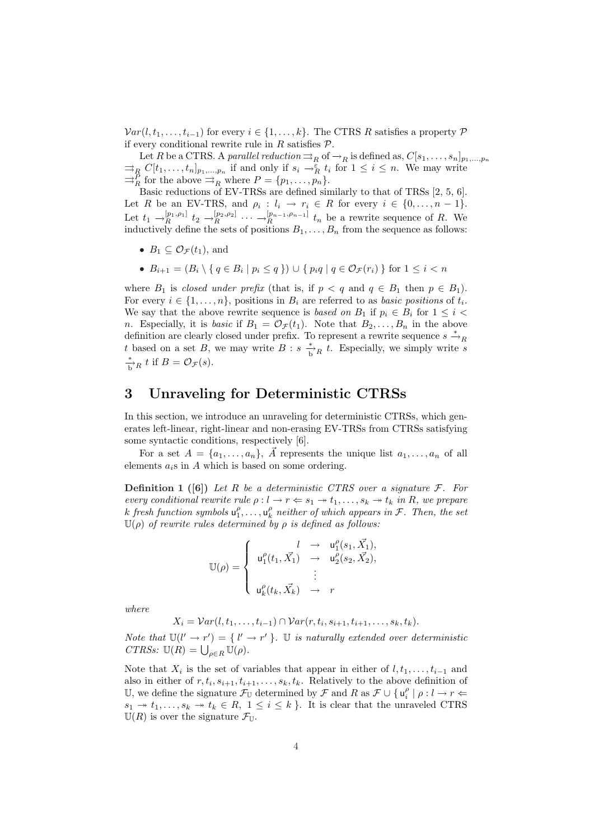$Var(l, t_1, \ldots, t_{i-1})$  for every  $i \in \{1, \ldots, k\}$ . The CTRS *R* satisfies a property  $P$ if every conditional rewrite rule in *R* satisfies *P*.

Let *R* be a CTRS. A *parallel reduction*  $\Rightarrow$ <sub>*R*</sub> of  $\rightarrow$ <sub>*R*</sub> is defined as,  $C[s_1, \ldots, s_n]_{p_1, \ldots, p_n}$  $\Rightarrow_R C[t_1, \ldots, t_n]_{p_1, \ldots, p_n}$  if and only if  $s_i \rightarrow_R^{\varepsilon} t_i$  for  $1 \leq i \leq n$ . We may write  $\exists_{R}^{P}$  for the above  $\exists_{R}$  where  $P = \{p_1, \ldots, p_n\}.$ 

Basic reductions of EV-TRSs are defined similarly to that of TRSs [2, 5, 6]. Let *R* be an EV-TRS, and  $\rho_i: l_i \to r_i \in R$  for every  $i \in \{0, \ldots, n-1\}$ . Let  $t_1 \rightarrow_R^{[p_1,p_1]} t_2 \rightarrow_R^{[p_2,p_2]} \cdots \rightarrow_R^{[p_{n-1},p_{n-1}]} t_n$  be a rewrite sequence of R. We inductively define the sets of positions  $B_1, \ldots, B_n$  from the sequence as follows:

- $B_1 \subset \mathcal{O}_{\mathcal{F}}(t_1)$ , and
- $B_{i+1} = (B_i \setminus \{ q \in B_i \mid p_i \leq q \}) \cup \{ p_i q \mid q \in \mathcal{O}_{\mathcal{F}}(r_i) \}$  for  $1 \leq i < n$

where  $B_1$  is *closed under prefix* (that is, if  $p < q$  and  $q \in B_1$  then  $p \in B_1$ ). For every  $i \in \{1, \ldots, n\}$ , positions in  $B_i$  are referred to as *basic positions* of  $t_i$ . We say that the above rewrite sequence is *based on*  $B_1$  if  $p_i \in B_i$  for  $1 \leq i <$ *n*. Especially, it is *basic* if  $B_1 = \mathcal{O}_{\mathcal{F}}(t_1)$ . Note that  $B_2, \ldots, B_n$  in the above definition are clearly closed under prefix. To represent a rewrite sequence  $s \stackrel{*}{\rightarrow}_R$ *t* based on a set *B*, we may write *B* :  $s \stackrel{*}{\to} R$  *t*. Especially, we simply write *s <sup>\*</sup><sub><i>B*</sub> *t* if *B* =  $\mathcal{O}_{\mathcal{F}}(s)$ .

## **3 Unraveling for Deterministic CTRSs**

In this section, we introduce an unraveling for deterministic CTRSs, which generates left-linear, right-linear and non-erasing EV-TRSs from CTRSs satisfying some syntactic conditions, respectively [6].

For a set  $A = \{a_1, \ldots, a_n\}$ ,  $\overrightarrow{A}$  represents the unique list  $a_1, \ldots, a_n$  of all elements *ai*s in *A* which is based on some ordering.

**Definition 1** ([6]) Let *R* be a deterministic CTRS over a signature  $F$ . For *every conditional rewrite rule*  $\rho: l \to r \Leftrightarrow s_1 \to t_1, \ldots, s_k \to t_k$  *in R, we prepare*  $k$  *fresh function symbols*  $u_1^{\rho}, \ldots, u_k^{\rho}$  *neither of which appears in*  $\mathcal{F}$ *. Then, the set*  $\mathbb{U}(\rho)$  *of rewrite rules determined by*  $\rho$  *is defined as follows:* 

$$
\mathbb{U}(\rho) = \begin{cases} l & \to & \mathsf{u}_1^{\rho}(s_1, \vec{X_1}), \\ \mathsf{u}_1^{\rho}(t_1, \vec{X_1}) & \to & \mathsf{u}_2^{\rho}(s_2, \vec{X_2}), \\ & \vdots \\ \mathsf{u}_k^{\rho}(t_k, \vec{X_k}) & \to & r \end{cases}
$$

*where*

$$
X_i = Var(l, t_1, \ldots, t_{i-1}) \cap Var(r, t_i, s_{i+1}, t_{i+1}, \ldots, s_k, t_k).
$$

*Note that*  $\mathbb{U}(l' \to r') = \{l' \to r' \}$ . U *is naturally extended over deterministic CTRSs:*  $\mathbb{U}(R) = \bigcup_{\rho \in R} \mathbb{U}(\rho)$ *.* 

Note that  $X_i$  is the set of variables that appear in either of  $l, t_1, \ldots, t_{i-1}$  and also in either of  $r, t_i, s_{i+1}, t_{i+1}, \ldots, s_k, t_k$ . Relatively to the above definition of U, we define the signature  $\mathcal{F}_{\mathbb{U}}$  determined by  $\mathcal{F}$  and  $R$  as  $\mathcal{F} \cup \{ \mathsf{u}_i^{\rho} \mid \rho : l \to r \Leftarrow$  $s_1 \rightarrow t_1, \ldots, s_k \rightarrow t_k \in R, \ 1 \leq i \leq k$ . It is clear that the unraveled CTRS  $\mathbb{U}(R)$  is over the signature  $\mathcal{F}_{\mathbb{U}}$ .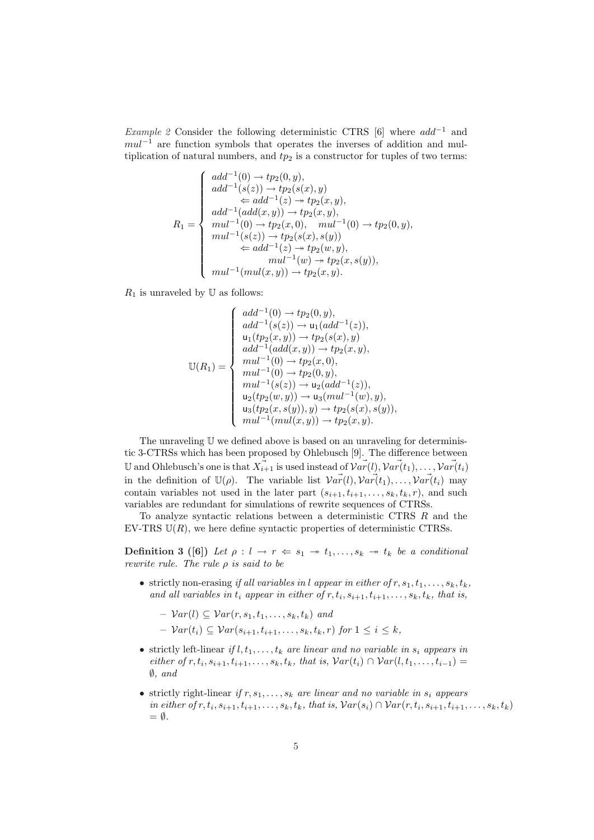*Example 2* Consider the following deterministic CTRS [6] where *add−*<sup>1</sup> and *mul*<sup> $−1$ </sup> are function symbols that operates the inverses of addition and multiplication of natural numbers, and  $tp_2$  is a constructor for tuples of two terms:

$$
R_1 = \begin{cases} \n add^{-1}(0) \rightarrow tp_2(0, y), \\ \n add^{-1}(s(z)) \rightarrow tp_2(s(x), y) \\ \n \Leftarrow add^{-1}(z) \rightarrow tp_2(x, y), \\ \n add^{-1}(add(x, y)) \rightarrow tp_2(x, y), \\ \n mul^{-1}(0) \rightarrow tp_2(x, 0), \quad mul^{-1}(0) \rightarrow tp_2(0, y), \\ \n mul^{-1}(s(z)) \rightarrow tp_2(s(x), s(y)) \\ \n \Leftarrow add^{-1}(z) \rightarrow tp_2(w, y), \\ \n mul^{-1}(w) \rightarrow tp_2(x, s(y)), \\ \n mul^{-1}(mul(x, y)) \rightarrow tp_2(x, y). \n\end{cases}
$$

 $R_1$  is unraveled by  $\mathbb U$  as follows:

$$
\mathbb{U}(R_1) = \begin{cases}\n add^{-1}(0) \to tp_2(0, y), \\
add^{-1}(s(z)) \to \mathsf{u}_1(add^{-1}(z)), \\
\mathsf{u}_1(tp_2(x, y)) \to tp_2(s(x), y) \\
add^{-1}(add(x, y)) \to tp_2(x, y), \\
mul^{-1}(0) \to tp_2(x, 0), \\
mul^{-1}(0) \to tp_2(0, y), \\
mul^{-1}(s(z)) \to \mathsf{u}_2(add^{-1}(z)), \\
\mathsf{u}_2(tp_2(w, y)) \to \mathsf{u}_3(mul^{-1}(w), y), \\
\mathsf{u}_3(tp_2(x, s(y)), y) \to tp_2(s(x), s(y)), \\
mul^{-1}(mul(x, y)) \to tp_2(x, y).\n\end{cases}
$$

The unraveling U we defined above is based on an unraveling for deterministic 3-CTRSs which has been proposed by Ohlebusch [9]. The difference between U and Ohlebusch's one is that  $\vec{X}_{i+1}$  is used instead of  $\vec{Var}(l)$ ,  $\vec{Var}(t_1), \dots, \vec{Var}(t_i)$ in the definition of  $\mathbb{U}(\rho)$ . The variable list  $\overrightarrow{Var}(l), \overrightarrow{Var}(t_1), \ldots, \overrightarrow{Var}(t_i)$  may contain variables not used in the later part  $(s_{i+1}, t_{i+1}, \ldots, s_k, t_k, r)$ , and such variables are redundant for simulations of rewrite sequences of CTRSs.

To analyze syntactic relations between a deterministic CTRS *R* and the EV-TRS  $U(R)$ , we here define syntactic properties of deterministic CTRSs.

**Definition 3** ([6]) Let  $\rho: l \to r \Leftarrow s_1 \to t_1, \ldots, s_k \to t_k$  be a conditional *rewrite rule. The rule ρ is said to be*

- strictly non-erasing *if all variables in l appear in either of*  $r, s_1, t_1, \ldots, s_k, t_k$ *, and all variables in*  $t_i$  *appear in either of*  $r, t_i, s_{i+1}, t_{i+1}, \ldots, s_k, t_k$ *, that is,* 
	- $\forall$ *ar*(*l*)  $\subseteq \mathcal{V}ar(r, s_1, t_1, \ldots, s_k, t_k)$  *and*
	- $\mathcal{V}ar(t_i)$  ⊆  $\mathcal{V}ar(s_{i+1}, t_{i+1}, \ldots, s_k, t_k, r)$  *for*  $1 \leq i \leq k$ *,*
- strictly left-linear *if*  $l, t_1, \ldots, t_k$  *are linear and no variable in*  $s_i$  *appears in* either of  $r, t_i, s_{i+1}, t_{i+1}, \ldots, s_k, t_k$ , that is,  $Var(t_i) \cap Var(l, t_1, \ldots, t_{i-1}) =$ *∅, and*
- strictly right-linear *if*  $r, s_1, \ldots, s_k$  *are linear and no variable in*  $s_i$  *appears* in either of  $r, t_i, s_{i+1}, t_{i+1}, \ldots, s_k, t_k$ , that is,  $Var(s_i) \cap Var(r, t_i, s_{i+1}, t_{i+1}, \ldots, s_k, t_k)$ = *∅.*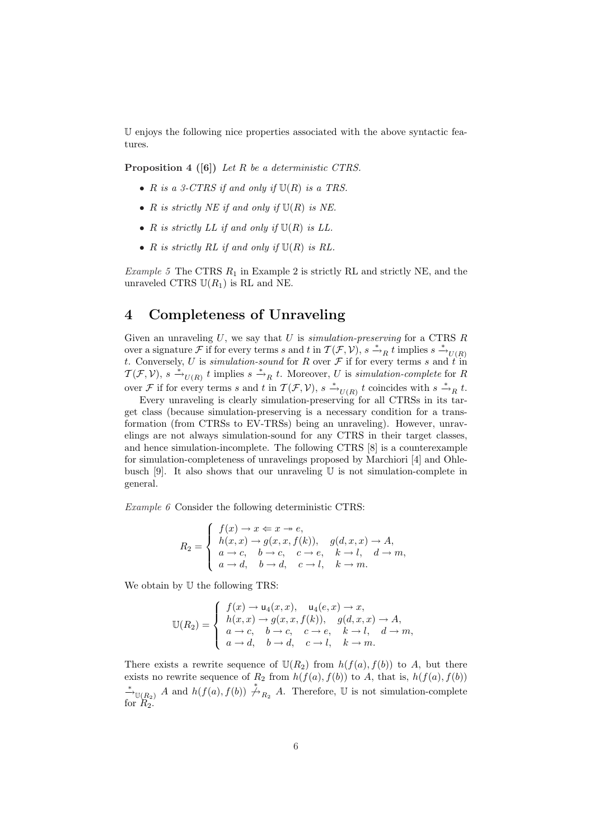U enjoys the following nice properties associated with the above syntactic features.

**Proposition 4 ([6])** *Let R be a deterministic CTRS.*

- *• R is a 3-CTRS if and only if* U(*R*) *is a TRS.*
- *• R is strictly NE if and only if* U(*R*) *is NE.*
- $R$  *is strictly LL if and only if*  $U(R)$  *is LL.*
- $R$  *is strictly RL if and only if*  $U(R)$  *is RL.*

*Example 5* The CTRS *R*<sup>1</sup> in Example 2 is strictly RL and strictly NE, and the unraveled CTRS  $U(R_1)$  is RL and NE.

## **4 Completeness of Unraveling**

Given an unraveling *U*, we say that *U* is *simulation-preserving* for a CTRS *R* over a signature *F* if for every terms *s* and *t* in  $\mathcal{T}(\mathcal{F}, \mathcal{V})$ ,  $s \xrightarrow{\ast} R t$  implies  $s \xrightarrow{\ast} U(R)$ *t*. Conversely, *U* is *simulation-sound* for *R* over  $\mathcal F$  if for every terms *s* and  $\tilde t$  in  $\mathcal{T}(\mathcal{F}, \mathcal{V})$ ,  $s \xrightarrow{\ast}_{U(R)} t$  implies  $s \xrightarrow{\ast}_{R} t$ . Moreover, *U* is *simulation-complete* for *R* over *F* if for every terms *s* and *t* in  $T(F, V)$ ,  $s \xrightarrow{*}$  *U*(*R*) *t* coincides with  $s \xrightarrow{*}$  *R t*.

Every unraveling is clearly simulation-preserving for all CTRSs in its target class (because simulation-preserving is a necessary condition for a transformation (from CTRSs to EV-TRSs) being an unraveling). However, unravelings are not always simulation-sound for any CTRS in their target classes, and hence simulation-incomplete. The following CTRS [8] is a counterexample for simulation-completeness of unravelings proposed by Marchiori [4] and Ohlebusch  $[9]$ . It also shows that our unraveling U is not simulation-complete in general.

*Example 6* Consider the following deterministic CTRS:

$$
R_2 = \begin{cases} f(x) \rightarrow x \Leftarrow x \rightarrow e, \\ h(x, x) \rightarrow g(x, x, f(k)), & g(d, x, x) \rightarrow A, \\ a \rightarrow c, & b \rightarrow c, & c \rightarrow e, & k \rightarrow l, & d \rightarrow m, \\ a \rightarrow d, & b \rightarrow d, & c \rightarrow l, & k \rightarrow m. \end{cases}
$$

We obtain by  $U$  the following TRS:

$$
\mathbb{U}(R_2) = \begin{cases} f(x) \to \mathsf{u}_4(x, x), & \mathsf{u}_4(e, x) \to x, \\ h(x, x) \to g(x, x, f(k)), & g(d, x, x) \to A, \\ a \to c, & b \to c, & c \to e, & k \to l, & d \to m, \\ a \to d, & b \to d, & c \to l, & k \to m. \end{cases}
$$

There exists a rewrite sequence of  $U(R_2)$  from  $h(f(a), f(b))$  to *A*, but there exists no rewrite sequence of  $R_2$  from  $h(f(a), f(b))$  to  $A$ , that is,  $h(f(a), f(b))$ <sup>\*</sup> $\rightarrow$ </sup><sup>U(*R*<sub>2</sub>)</sub> *A* and *h*(*f*(*a*)*, f*(*b*))  $\stackrel{*}{\rightarrow}$ <sup>*R*<sub>2</sub></sub> *A*. Therefore, **U** is not simulation-complete</sup></sup> for  $R_2$ .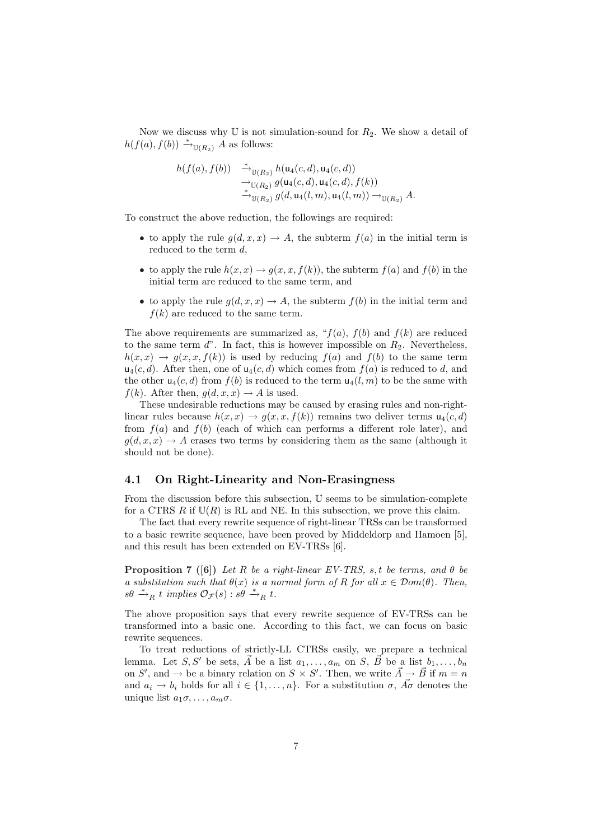Now we discuss why  $\mathbb U$  is not simulation-sound for  $R_2$ . We show a detail of  $h(f(a), f(b)) \stackrel{*}{\longrightarrow}_{\mathbb{U}(R_2)} A$  as follows:

$$
h(f(a), f(b)) \xrightarrow{\ast}_{\mathbb{U}(R_2)} h(\mathsf{u}_4(c, d), \mathsf{u}_4(c, d))
$$
  
\n
$$
\xrightarrow{\rightarrow}_{\mathbb{U}(R_2)} g(\mathsf{u}_4(c, d), \mathsf{u}_4(c, d), f(k))
$$
  
\n
$$
\xrightarrow{\ast}_{\mathbb{U}(R_2)} g(d, \mathsf{u}_4(l, m), \mathsf{u}_4(l, m)) \rightarrow_{\mathbb{U}(R_2)} A.
$$

To construct the above reduction, the followings are required:

- to apply the rule  $g(d, x, x) \to A$ , the subterm  $f(a)$  in the initial term is reduced to the term *d*,
- to apply the rule  $h(x, x) \rightarrow g(x, x, f(k))$ , the subterm  $f(a)$  and  $f(b)$  in the initial term are reduced to the same term, and
- to apply the rule  $g(d, x, x) \rightarrow A$ , the subterm  $f(b)$  in the initial term and  $f(k)$  are reduced to the same term.

The above requirements are summarized as, " $f(a)$ ,  $f(b)$  and  $f(k)$  are reduced to the same term  $d$ ". In fact, this is however impossible on  $R_2$ . Nevertheless,  $h(x, x) \rightarrow g(x, x, f(k))$  is used by reducing  $f(a)$  and  $f(b)$  to the same term  $u_4(c, d)$ . After then, one of  $u_4(c, d)$  which comes from  $f(a)$  is reduced to d, and the other  $u_4(c, d)$  from  $f(b)$  is reduced to the term  $u_4(l, m)$  to be the same with  $f(k)$ . After then,  $g(d, x, x) \rightarrow A$  is used.

These undesirable reductions may be caused by erasing rules and non-rightlinear rules because  $h(x, x) \rightarrow g(x, x, f(k))$  remains two deliver terms  $u_4(c, d)$ from  $f(a)$  and  $f(b)$  (each of which can performs a different role later), and  $g(d, x, x) \rightarrow A$  erases two terms by considering them as the same (although it should not be done).

### **4.1 On Right-Linearity and Non-Erasingness**

From the discussion before this subsection, U seems to be simulation-complete for a CTRS  $R$  if  $\mathbb{U}(R)$  is RL and NE. In this subsection, we prove this claim.

The fact that every rewrite sequence of right-linear TRSs can be transformed to a basic rewrite sequence, have been proved by Middeldorp and Hamoen [5], and this result has been extended on EV-TRSs [6].

**Proposition 7 ([6])** *Let R be a right-linear EV-TRS, s, t be terms, and θ be a substitution such that*  $\theta(x)$  *is a normal form of R for all*  $x \in Dom(\theta)$ *. Then,*  $s\theta \stackrel{*}{\rightarrow}_R t$  *implies*  $\mathcal{O}_{\mathcal{F}}(s)$  :  $s\theta \stackrel{*}{\rightarrow}_R t$ .

The above proposition says that every rewrite sequence of EV-TRSs can be transformed into a basic one. According to this fact, we can focus on basic rewrite sequences.

To treat reductions of strictly-LL CTRSs easily, we prepare a technical lemma. Let *S*, *S'* be sets,  $\overrightarrow{A}$  be a list  $a_1, \ldots, a_m$  on *S*,  $\overrightarrow{B}$  be a list  $b_1, \ldots, b_n$ on *S*<sup> $\prime$ </sup>, and  $\rightarrow$  be a binary relation on *S*  $\times$  *S*<sup> $\prime$ </sup>. Then, we write  $\vec{A} \rightarrow \vec{B}$  if  $m = n$ and  $a_i \rightarrow b_i$  holds for all  $i \in \{1, \ldots, n\}$ . For a substitution  $\sigma$ ,  $A\sigma$  denotes the unique list  $a_1 \sigma, \ldots, a_m \sigma$ .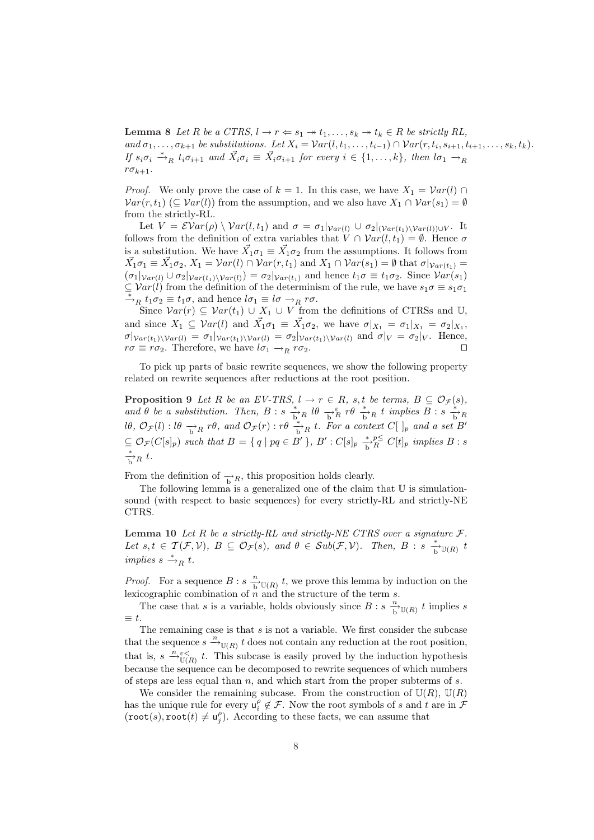**Lemma 8** *Let R be a CTRS*,  $l \rightarrow r \Leftarrow s_1 \rightarrow t_1, \ldots, s_k \rightarrow t_k \in R$  *be strictly RL*, and  $\sigma_1, \ldots, \sigma_{k+1}$  be substitutions. Let  $X_i = Var(l, t_1, \ldots, t_{i-1}) \cap Var(r, t_i, s_{i+1}, t_{i+1}, \ldots, s_k, t_k)$ . If  $s_i \sigma_i \stackrel{*}{\rightarrow}_R t_i \sigma_{i+1}$  and  $\vec{X}_i \sigma_i \equiv \vec{X}_i \sigma_{i+1}$  for every  $i \in \{1, ..., k\}$ , then  $l \sigma_1 \rightarrow_R l$  $r\sigma_{k+1}$ .

*Proof.* We only prove the case of  $k = 1$ . In this case, we have  $X_1 = Var(l) \cap$  $Var(r, t_1)$  ( $\subseteq Var(l)$ ) from the assumption, and we also have  $X_1 \cap Var(s_1) = \emptyset$ from the strictly-RL.

Let  $V = \mathcal{E}Var(\rho) \setminus Var(l, t_1)$  and  $\sigma = \sigma_1|_{Var(l)} \cup \sigma_2|_{(Var(t_1) \setminus Var(l)) \cup V}$ . It follows from the definition of extra variables that  $V \cap Var(l, t_1) = \emptyset$ . Hence  $\sigma$ is a substitution. We have  $\vec{X}_1 \sigma_1 \equiv \vec{X}_1 \sigma_2$  from the assumptions. It follows from  $\vec{X_1}\sigma_1 \equiv \vec{X_1}\sigma_2$ ,  $X_1 = \mathcal{V}ar(l) \cap \mathcal{V}ar(r, t_1)$  and  $X_1 \cap \mathcal{V}ar(s_1) = \emptyset$  that  $\sigma|_{\mathcal{V}ar(t_1)} =$  $(\sigma_1|_{Var(l)} \cup \sigma_2|_{Var(t_1)\setminus Var(l)}) = \sigma_2|_{Var(t_1)}$  and hence  $t_1\sigma \equiv t_1\sigma_2$ . Since  $Var(s_1)$  $\subseteq$  *Var*(*l*) from the definition of the determinism of the rule, we have  $s_1 \sigma \equiv s_1 \sigma_1$  $\stackrel{*}{\rightarrow}_R t_1 \sigma_2 \equiv t_1 \sigma$ , and hence  $l \sigma_1 \equiv l \sigma \rightarrow_R r \sigma$ .

Since  $Var(r) \subseteq Var(t_1) \cup X_1 \cup V$  from the definitions of CTRSs and U, and since  $X_1 \subseteq \mathcal{V}ar(l)$  and  $\vec{X_1}\sigma_1 \equiv \vec{X_1}\sigma_2$ , we have  $\sigma|_{X_1} = \sigma_1|_{X_1} = \sigma_2|_{X_1}$ ,  $\sigma|_{Var(t_1)\setminus Var(l)} = \sigma_1|_{Var(t_1)\setminus Var(l)} = \sigma_2|_{Var(t_1)\setminus Var(l)}$  and  $\sigma|_V = \sigma_2|_V$ . Hence,  $r\sigma \equiv r\sigma_2$ . Therefore, we have  $l\sigma_1 \rightarrow_R r\sigma_2$ .

To pick up parts of basic rewrite sequences, we show the following property related on rewrite sequences after reductions at the root position.

**Proposition 9** *Let R be an EV-TRS*,  $l \rightarrow r \in R$ *, s,t be terms,*  $B \subseteq \mathcal{O}_{\mathcal{F}}(s)$ *,* and  $\theta$  be a substitution. Then,  $B : s \stackrel{*}{\longrightarrow}_R l\theta \stackrel{*}{\longrightarrow}_R r\theta \stackrel{*}{\longrightarrow}_R t$  implies  $B : s \stackrel{*}{\longrightarrow}_R t$  $l\theta$ ,  $\mathcal{O}_{\mathcal{F}}(l)$ :  $l\theta \rightarrow_R^{\bullet} r\theta$ , and  $\mathcal{O}_{\mathcal{F}}(r)$ :  $r\theta \rightarrow_R^{\ast} t$ . For a context  $C[\ ]_p$  and a set  $B'$  $\subseteq \mathcal{O}_{\mathcal{F}}(C[s]_p)$  such that  $B = \{ q \mid pq \in B' \}, B' : C[s]_p \stackrel{*}{\to}^pR C[t]_p$  implies  $B : s$  $\frac{*}{b}R$  *t.* 

From the definition of  $\rightarrow$ <sub>R</sub>, this proposition holds clearly.

The following lemma is a generalized one of the claim that  $U$  is simulationsound (with respect to basic sequences) for every strictly-RL and strictly-NE CTRS.

**Lemma 10** *Let*  $R$  *be a strictly-RL and strictly-NE CTRS over a signature*  $F$ *.* Let  $s,t \in \mathcal{T}(\mathcal{F},\mathcal{V}), B \subseteq \mathcal{O}_{\mathcal{F}}(s)$ , and  $\theta \in Sub(\mathcal{F},\mathcal{V})$ . Then,  $B : s \xrightarrow[\mathbf{b}]{}^{\mathcal{V}}(\mathbf{R})$  t  $\lim \lim_{n \to \infty} s \stackrel{*}{\longrightarrow}_R t$ .

*Proof.* For a sequence  $B : s \xrightarrow[\text{b}]{n} \mathbb{U}(R)$  *t*, we prove this lemma by induction on the lexicographic combination of *n* and the structure of the term *s*.

The case that *s* is a variable, holds obviously since  $B : s \xrightarrow[b \mathbb{U}(R) \in \mathbb{I}]$  timplies *s ≡ t*.

The remaining case is that *s* is not a variable. We first consider the subcase that the sequence  $s \stackrel{n}{\longrightarrow}_{\mathbb{U}(R)} t$  does not contain any reduction at the root position, that is,  $s \stackrel{n}{\rightarrow} \mathcal{E}(\mathbb{R})$  t. This subcase is easily proved by the induction hypothesis because the sequence can be decomposed to rewrite sequences of which numbers of steps are less equal than *n*, and which start from the proper subterms of *s*.

We consider the remaining subcase. From the construction of  $U(R)$ ,  $U(R)$ has the unique rule for every  $u_i^{\rho} \notin \mathcal{F}$ . Now the root symbols of *s* and *t* are in  $\mathcal{F}$  $(\text{root}(s), \text{root}(t) \neq \mathsf{u}_j^{\rho})$ . According to these facts, we can assume that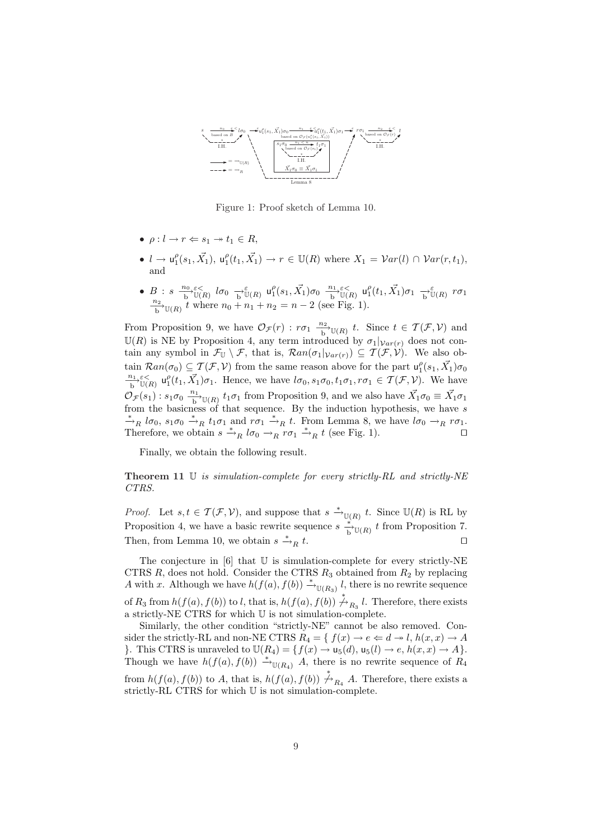

Figure 1: Proof sketch of Lemma 10.

- $\bullet$   $\rho: l \to r \Leftarrow s_1 \to t_1 \in R$ ,
- $l \to u_1^{\rho}(s_1, \vec{X_1}), u_1^{\rho}(t_1, \vec{X_1}) \to r \in \mathbb{U}(R)$  where  $X_1 = Var(l) \cap Var(r, t_1),$ and
- $\bullet \;\; B\; : \; s \;\; {\textstyle \frac{n_0}{\mathrm{b}}}\varepsilon_<^< \overline{\mathrm{b}}_{\mathbb{U}(R)} \;\; l \sigma_0 \;\; {\textstyle \frac{\varepsilon}{\mathrm{b}^{\mathrm{v}}\mathbb{U}(R)}} \;\; \mathsf{u}^{\rho}_1(s_1,\vec{X_1}) \sigma_0 \;\; {\textstyle \frac{n_1}{\mathrm{b}}}\varepsilon_<^< \overline{\mathrm{b}}_{\mathbb{U}(R)} \;\; \mathsf{u}^{\rho}_1(t_1,\vec{X_1}) \sigma_1 \;\; {\textstyle \frac{\varepsilon}{\mathrm{b}^{\mathrm{v}}\mathbb{U}($  $\frac{n_2}{b}$  *U*(*R*)  $t$  where  $n_0 + n_1 + n_2 = n - 2$  (see Fig. 1).

From Proposition 9, we have  $\mathcal{O}_{\mathcal{F}}(r)$  :  $r\sigma_1 \frac{n_2}{b} \mathbb{U}(R)$  *t*. Since  $t \in \mathcal{T}(\mathcal{F}, \mathcal{V})$  and  $U(R)$  is NE by Proposition 4, any term introduced by  $\sigma_1|_{Var(r)}$  does not contain any symbol in  $\mathcal{F}_{\mathbb{U}} \setminus \mathcal{F}$ , that is,  $\mathcal{R}an(\sigma_1|_{Var(r)}) \subseteq \mathcal{T}(\mathcal{F}, \mathcal{V})$ . We also obtain  $\mathcal{R}an(\sigma_0) \subseteq \mathcal{T}(\mathcal{F}, \mathcal{V})$  from the same reason above for the part  $u_1^{\rho}(s_1, \vec{X}_1)\sigma_0$  $\frac{n_1}{b}$   $\int_{U(R)}^{c} u_1^{\rho}(t_1, \vec{X_1}) \sigma_1$ . Hence, we have  $l\sigma_0, s_1\sigma_0, t_1\sigma_1, r\sigma_1 \in \mathcal{T}(\mathcal{F}, \mathcal{V})$ . We have  $\mathcal{O}_{\mathcal{F}}(s_1)$ :  $s_1\sigma_0 \xrightarrow[b]{n_1} \mathbb{U}(R)$  *t*<sub>1</sub>*σ*<sub>1</sub> from Proposition 9, and we also have  $\vec{X}_1\sigma_0 \equiv \vec{X}_1\sigma_1$ from the basicness of that sequence. By the induction hypothesis, we have *s*  $\frac{*}{\neg n}$  *lσ*<sub>0</sub>,  $s_1 \sigma_0 \stackrel{*}{\rightarrow} R$  *t*<sub>1</sub>*σ*<sub>1</sub> and  $r \sigma_1 \stackrel{*}{\rightarrow} R$  *t*. From Lemma 8, we have  $l \sigma_0 \rightarrow_R r \sigma_1$ . Therefore, we obtain  $s \stackrel{*}{\rightarrow}_R l\sigma_0 \rightarrow_R r\sigma_1 \stackrel{*}{\rightarrow}_R t$  (see Fig. 1).  $\square$ 

Finally, we obtain the following result.

**Theorem 11** U *is simulation-complete for every strictly-RL and strictly-NE CTRS.*

*Proof.* Let  $s, t \in \mathcal{T}(\mathcal{F}, \mathcal{V})$ , and suppose that  $s \stackrel{*}{\to}_{\mathbb{U}(R)} t$ . Since  $\mathbb{U}(R)$  is RL by Proposition 4, we have a basic rewrite sequence  $s \stackrel{*}{\to} \mathbb{U}(R)$  t from Proposition 7. Then, from Lemma 10, we obtain  $s \stackrel{*}{\to}_R t$ .

The conjecture in  $[6]$  that  $\mathbb U$  is simulation-complete for every strictly-NE CTRS  $R$ , does not hold. Consider the CTRS  $R_3$  obtained from  $R_2$  by replacing *A* with *x*. Although we have  $h(f(a), f(b)) \xrightarrow{*} \mathbb{U}(R_3)$ , *l*, there is no rewrite sequence of  $R_3$  from  $h(f(a), f(b))$  to *l*, that is,  $h(f(a), f(b)) \stackrel{*}{\nrightarrow} R_3$  *l*. Therefore, there exists a strictly-NE CTRS for which U is not simulation-complete.

Similarly, the other condition "strictly-NE" cannot be also removed. Consider the strictly-RL and non-NE CTRS  $R_4 = \{ f(x) \to e \iff d \to l, h(x, x) \to A \}$ *}*. This CTRS is unraveled to  $\mathbb{U}(R_4) = \{f(x) \to \mathsf{u}_5(d), \mathsf{u}_5(l) \to e, h(x, x) \to A\}$ . Though we have  $h(f(a), f(b)) \stackrel{*}{\to}_{\mathbb{U}(R_4)} A$ , there is no rewrite sequence of  $R_4$ from  $h(f(a), f(b))$  to *A*, that is,  $h(f(a), f(b)) \nrightarrow{\star}_{R_4} A$ . Therefore, there exists a strictly-RL CTRS for which U is not simulation-complete.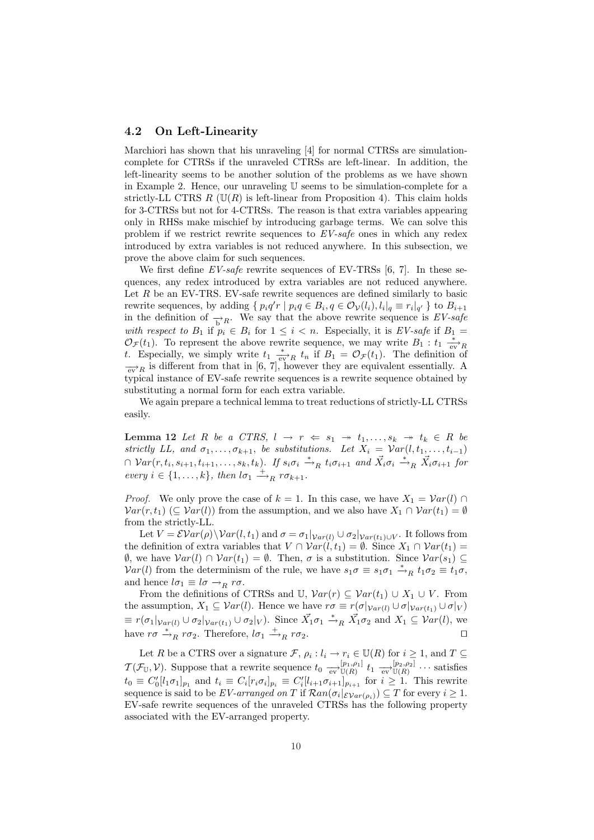#### **4.2 On Left-Linearity**

Marchiori has shown that his unraveling [4] for normal CTRSs are simulationcomplete for CTRSs if the unraveled CTRSs are left-linear. In addition, the left-linearity seems to be another solution of the problems as we have shown in Example 2. Hence, our unraveling U seems to be simulation-complete for a strictly-LL CTRS  $R$  ( $\mathbb{U}(R)$  is left-linear from Proposition 4). This claim holds for 3-CTRSs but not for 4-CTRSs. The reason is that extra variables appearing only in RHSs make mischief by introducing garbage terms. We can solve this problem if we restrict rewrite sequences to *EV-safe* ones in which any redex introduced by extra variables is not reduced anywhere. In this subsection, we prove the above claim for such sequences.

We first define *EV-safe* rewrite sequences of EV-TRSs [6, 7]. In these sequences, any redex introduced by extra variables are not reduced anywhere. Let  $R$  be an EV-TRS. EV-safe rewrite sequences are defined similarly to basic rewrite sequences, by adding  $\{p_i q' r \mid p_i q \in B_i, q \in \mathcal{O}_V(l_i), l_i|_q \equiv r_i|_{q'}\}$  to  $B_{i+1}$ in the definition of  $\rightarrow$ <sub>*R*</sub>. We say that the above rewrite sequence is *EV-safe with respect to*  $B_1$  if  $p_i \in B_i$  for  $1 \leq i < n$ . Especially, it is *EV-safe* if  $B_1 =$  $\mathcal{O}_{\mathcal{F}}(t_1)$ . To represent the above rewrite sequence, we may write  $B_1: t_1 \xrightarrow[\text{ev}]{} R$ *t*. Especially, we simply write  $t_1 \stackrel{*}{\underset{\text{ev}}{*}} R t_n$  if  $B_1 = \mathcal{O}_\mathcal{F}(t_1)$ . The definition of  $\frac{1}{\sqrt{eV}}$  *R* is different from that in [6, 7], however they are equivalent essentially. A typical instance of EV-safe rewrite sequences is a rewrite sequence obtained by substituting a normal form for each extra variable.

We again prepare a technical lemma to treat reductions of strictly-LL CTRSs easily.

**Lemma 12** *Let R be a CTRS*,  $l \rightarrow r \Leftarrow s_1 \rightarrow t_1, \ldots, s_k \rightarrow t_k \in R$  *be strictly LL, and*  $\sigma_1, \ldots, \sigma_{k+1}$ , *be substitutions. Let*  $X_i = \mathcal{V}ar(l, t_1, \ldots, t_{i-1})$  $\cap \;Var(r,t_i,s_{i+1},t_{i+1},\ldots,s_k,t_k)$ . If  $s_i\sigma_i \stackrel{*}{\rightharpoonup}_R t_i\sigma_{i+1}$  and  $\vec{X}_i\sigma_i \stackrel{*}{\rightharpoonup}_R \vec{X}_i\sigma_{i+1}$  for  $every \ i \in \{1, \ldots, k\}, \ then \ l\sigma_1 \stackrel{+}{\longrightarrow}_R r\sigma_{k+1}.$ 

*Proof.* We only prove the case of  $k = 1$ . In this case, we have  $X_1 = Var(l) \cap$  $Var(r, t_1)$  ( $\subseteq Var(l)$ ) from the assumption, and we also have  $X_1 \cap Var(t_1) = \emptyset$ from the strictly-LL.

Let  $V = \mathcal{E}Var(\rho) \setminus Var(l, t_1)$  and  $\sigma = \sigma_1|_{Var(l)} \cup \sigma_2|_{Var(t_1) \cup V}$ . It follows from the definition of extra variables that  $V \cap \text{Var}(l, t_1) = \emptyset$ . Since  $X_1 \cap \text{Var}(t_1) =$  $\emptyset$ , we have  $Var(l) ∩ Var(t_1) = ∅$ . Then, *σ* is a substitution. Since  $Var(s_1) ⊆$ *Var*(*l*) from the determinism of the rule, we have  $s_1 \sigma \equiv s_1 \sigma_1 \stackrel{*}{\to}_R t_1 \sigma_2 \equiv t_1 \sigma$ , and hence  $l\sigma_1 \equiv l\sigma \rightarrow_R r\sigma$ .

From the definitions of CTRSs and U,  $Var(r) \subseteq Var(t_1) \cup X_1 \cup V$ . From the assumption,  $X_1 \subseteq Var(l)$ . Hence we have  $r\sigma \equiv r(\sigma|_{Var(l)} \cup \sigma|_{Var(t_1)} \cup \sigma|_V)$  $\equiv r(\sigma_1|_{Var(l)} \cup \sigma_2|_{Var(t_1)} \cup \sigma_2|_V)$ . Since  $\vec{X_1}\sigma_1 \stackrel{*}{\to}_R \vec{X_1}\sigma_2$  and  $X_1 \subseteq Var(l)$ , we have  $r\sigma \stackrel{*}{\rightarrow}_R r\sigma_2$ . Therefore,  $l\sigma_1 \stackrel{+}{\rightarrow}_R r\sigma_2$ .

Let *R* be a CTRS over a signature  $\mathcal{F}, \rho_i : l_i \to r_i \in \mathbb{U}(R)$  for  $i \geq 1$ , and  $T \subseteq$  $\mathcal{T}(\mathcal{F}_{\mathbb{U}}, \mathcal{V})$ . Suppose that a rewrite sequence  $t_0 \xrightarrow[\text{ev}]{[p_1, \rho_1]}$  $\big[ p_1, p_1 \big]$   $t_1 \xrightarrow[\text{ev}]{[p_2, p_2]}$ <br>  $\mathbb{U}(R)$  $\mathbb{U}(R)$   $\cdots$  satisfies  $t_0 \equiv C'_0[l_1\sigma_1]_{p_1}$  and  $t_i \equiv C_i[r_i\sigma_i]_{p_i} \equiv C'_i[l_{i+1}\sigma_{i+1}]_{p_{i+1}}$  for  $i \geq 1$ . This rewrite sequence is said to be  $EV$ -arranged on  $T$  if  $\mathcal{R}an(\sigma_i|\mathcal{E}_{Var(\rho_i)}) \subseteq T$  for every  $i \geq 1$ . EV-safe rewrite sequences of the unraveled CTRSs has the following property associated with the EV-arranged property.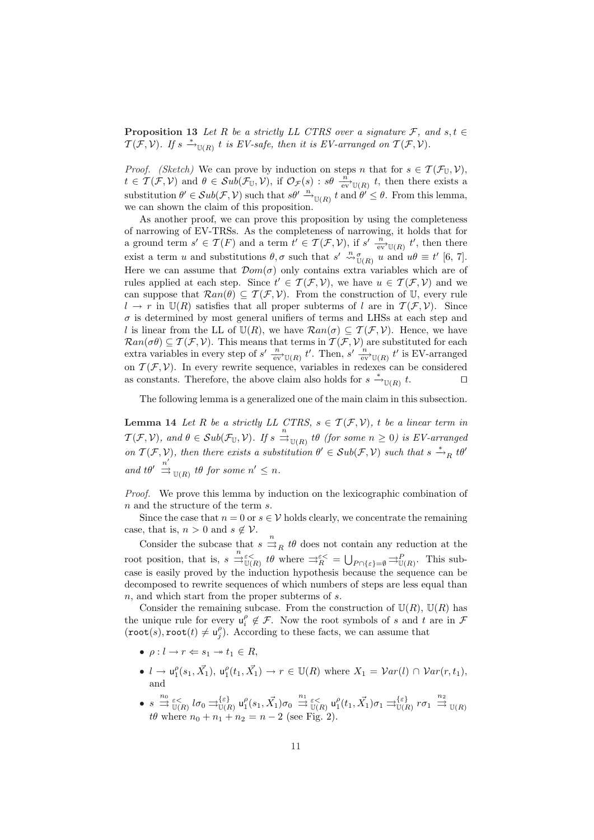**Proposition 13** *Let R be a strictly LL CTRS over a signature*  $\mathcal{F}$ *, and*  $s, t \in$  $\mathcal{T}(\mathcal{F}, \mathcal{V})$ *. If*  $s \stackrel{*}{\rightarrow}_{\mathbb{U}(R)} t$  *is EV-safe, then it is EV-arranged on*  $\mathcal{T}(\mathcal{F}, \mathcal{V})$ *.* 

*Proof. (Sketch)* We can prove by induction on steps *n* that for  $s \in \mathcal{T}(\mathcal{F}_{\mathbb{U}}, \mathcal{V})$ ,  $t \in \mathcal{T}(\mathcal{F}, \mathcal{V})$  and  $\theta \in \mathcal{S}u\overline{b}(\mathcal{F}_{\mathbb{U}}, \mathcal{V})$ , if  $\mathcal{O}_{\mathcal{F}}(s)$ :  $s\theta \stackrel{\overline{n}}{\underset{\text{ev}}{\longrightarrow}} v_{\mathbb{U}(R)}$ , then there exists a substitution  $\theta' \in Sub(\mathcal{F}, \mathcal{V})$  such that  $s\theta' \stackrel{n}{\rightarrow}_{\mathbb{U}(R)} t$  and  $\theta' \leq \theta$ . From this lemma, we can shown the claim of this proposition.

As another proof, we can prove this proposition by using the completeness of narrowing of EV-TRSs. As the completeness of narrowing, it holds that for a ground term  $s' \in \mathcal{T}(F)$  and a term  $t' \in \mathcal{T}(\mathcal{F}, \mathcal{V})$ , if  $s' \stackrel{n}{\underset{\text{ev}}{\longrightarrow}} \mathcal{U}(R)$   $t'$ , then there exist a term *u* and substitutions  $\theta$ ,  $\sigma$  such that  $s' \stackrel{n}{\leadsto} \sigma$ <sub>*U*(*R*)</sub> *u* and  $u\theta \equiv t'$  [6, 7]. Here we can assume that  $\mathcal{D}om(\sigma)$  only contains extra variables which are of rules applied at each step. Since  $t' \in \mathcal{T}(\mathcal{F}, \mathcal{V})$ , we have  $u \in \mathcal{T}(\mathcal{F}, \mathcal{V})$  and we can suppose that  $\mathcal{R}an(\theta) \subseteq \mathcal{T}(\mathcal{F}, \mathcal{V})$ . From the construction of U, every rule  $l \rightarrow r$  in  $\mathbb{U}(R)$  satisfies that all proper subterms of *l* are in  $\mathcal{T}(\mathcal{F}, \mathcal{V})$ . Since  $\sigma$  is determined by most general unifiers of terms and LHSs at each step and *l* is linear from the LL of  $U(R)$ , we have  $\mathcal{R}an(\sigma) \subseteq \mathcal{T}(\mathcal{F}, \mathcal{V})$ . Hence, we have  $\mathcal{R}an(\sigma\theta) \subseteq \mathcal{T}(\mathcal{F}, \mathcal{V})$ . This means that terms in  $\mathcal{T}(\mathcal{F}, \mathcal{V})$  are substituted for each extra variables in every step of  $s'$   $\frac{n}{ev}$  <sub>U(*R*)</sub>  $t'$ . Then,  $s'$   $\frac{n}{ev}$  <sub>U(*R*)</sub>  $t'$  is EV-arranged on  $T(F, V)$ . In every rewrite sequence, variables in redexes can be considered<br>as constants. Therefore, the above claim also holds for  $s \stackrel{*}{\longrightarrow} \infty$ as constants. Therefore, the above claim also holds for  $s \stackrel{*}{\rightarrow}_{\mathbb{U}(R)}$ *t*. *ut*

The following lemma is a generalized one of the main claim in this subsection.

**Lemma 14** *Let R be a strictly LL CTRS,*  $s \in \mathcal{T}(\mathcal{F}, \mathcal{V})$ , *t be a linear term in*  $\mathcal{T}(\mathcal{F}, \mathcal{V})$ *, and*  $\theta \in \mathcal{S}ub(\mathcal{F}_{\mathbb{U}}, \mathcal{V})$ *. If*  $s \stackrel{n}{\Rightarrow}_{\mathbb{U}(R)} t\theta$  (for some  $n \geq 0$ ) is EV-arranged *on*  $\mathcal{T}(\mathcal{F}, \mathcal{V})$ , then there exists a substitution  $\theta' \in Sub(\mathcal{F}, \mathcal{V})$  such that  $s \stackrel{*}{\rightarrow}_R t\theta'$  $\int_0^{\infty}$  *n d*  $\Rightarrow$   $\int_0^{\infty}$  *u (R) tθ for some n'*  $\leq$  *n*.

*Proof.* We prove this lemma by induction on the lexicographic combination of *n* and the structure of the term *s*.

Since the case that  $n = 0$  or  $s \in V$  holds clearly, we concentrate the remaining case, that is,  $n > 0$  and  $s \notin V$ .

Consider the subcase that  $s \stackrel{n}{\Rightarrow}_R t\theta$  does not contain any reduction at the root position, that is,  $s \stackrel{n}{\Rightarrow} \varepsilon \leq$ <br> $\mathbb{U}_R$  *tθ* where  $\Rightarrow_R^{\varepsilon \leq} = \bigcup_{P \cap \{\varepsilon\} = \emptyset} \Rightarrow_{\mathbb{U}(R)}^P$ . This subcase is easily proved by the induction hypothesis because the sequence can be decomposed to rewrite sequences of which numbers of steps are less equal than *n*, and which start from the proper subterms of *s*.

Consider the remaining subcase. From the construction of  $U(R)$ ,  $U(R)$  has the unique rule for every  $u_i^{\rho} \notin \mathcal{F}$ . Now the root symbols of *s* and *t* are in  $\mathcal{F}$  $(\text{root}(s), \text{root}(t) \neq \mathsf{u}_j^{\rho})$ . According to these facts, we can assume that

- $\bullet$   $\rho: l \to r \Leftarrow s_1 \to t_1 \in R$ ,
- $l \to u_1^{\rho}(s_1, \vec{X_1}), u_1^{\rho}(t_1, \vec{X_1}) \to r \in \mathbb{U}(R)$  where  $X_1 = \mathcal{V}ar(l) \cap \mathcal{V}ar(r, t_1)$ , and
- $\bullet\;\;s\;\overset{n_0}{\rightrightarrows}\;\overset{\varepsilon<}{\mathbb{U}(R)}\;l\sigma_0\;\overset{\tau\left\{\varepsilon\right\}}{\rightrightarrows}\;u_1^\rho(s_1,\vec{X_1})\sigma_0\;\overset{n_1}{\rightrightarrows}\;\overset{\varepsilon<}{\mathbb{U}(R)}\;u_1^\rho(t_1,\vec{X_1})\sigma_1\;\overset{\tau\left\{\varepsilon\right\}}{\rightrightarrows}\;r\sigma_1\;\overset{n_2}{\rightrightarrows}\;\overset{\tau\left\{\varepsilon\right\}}{\mathbb{U}(R)}\;r\sigma_1$  $t\theta$  where  $n_0 + n_1 + n_2 = n - 2$  (see Fig. 2).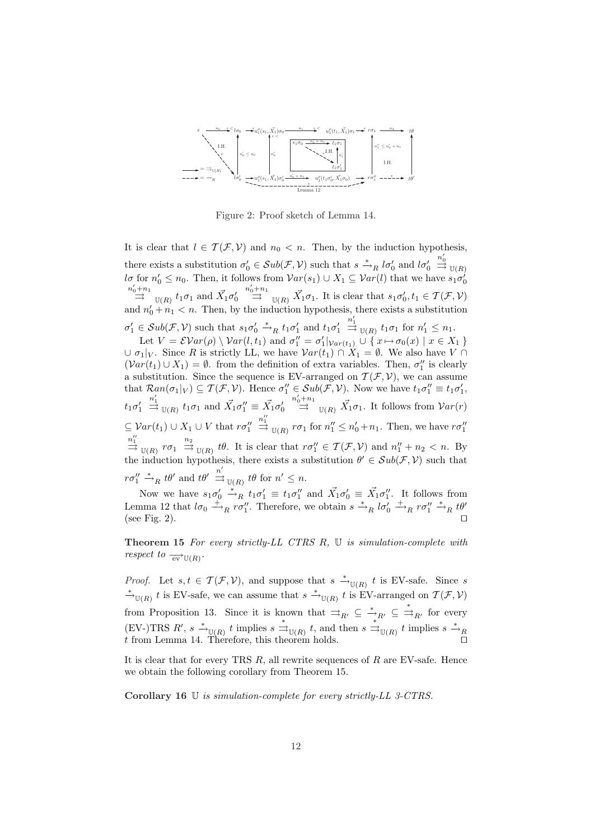

Figure 2: Proof sketch of Lemma 14.

It is clear that  $l \in \mathcal{T}(\mathcal{F}, \mathcal{V})$  and  $n_0 < n$ . Then, by the induction hypothesis, there exists a substitution  $\sigma'_0 \in Sub(\mathcal{F}, \mathcal{V})$  such that  $s \stackrel{*}{\to}_R l\sigma'_0$  and  $l\sigma'_0$  $\stackrel{n'_0}{\Rightarrow}$   $\mathbb{U}(R)$  $d\sigma$  for  $n'_0 \leq n_0$ . Then, it follows from  $Var(s_1) \cup X_1 \subseteq Var(l)$  that we have  $s_1 \sigma'_0$  $\stackrel{n'_0+n_1}{\rightrightarrows}$  <sub>U(*R*)</sub>  $t_1\sigma_1$  and  $\vec{X_1}\sigma'_0$  $\overrightarrow{a}_{\text{D}}^{n'+n_1}$   $\overrightarrow{a}_{\text{U}(R)} \overrightarrow{X}_1 \sigma_1$ . It is clear that  $s_1 \sigma'_0, t_1 \in \mathcal{T}(\mathcal{F}, \mathcal{V})$ and  $n'_0 + n_1 < n$ . Then, by the induction hypothesis, there exists a substitution  $\sigma'_1 \in Sub(\mathcal{F}, \mathcal{V})$  such that  $s_1 \sigma'_0 \stackrel{*}{\rightarrow}_R t_1 \sigma'_1$  and  $t_1 \sigma'_1$  $\frac{n'_1}{\Rightarrow}$  <sub>U(*R*)</sub>  $t_1 \sigma_1$  for  $n'_1 \leq n_1$ .

Let  $V = \mathcal{E}Var(\rho) \setminus Var(l, t_1)$  and  $\sigma''_1 = \sigma'_1|_{Var(t_1)} \cup \{x \mapsto \sigma_0(x) \mid x \in X_1\}$  $∪$  *σ*<sub>1</sub> $|V$ . Since *R* is strictly LL, we have  $Var(t_1) ∩ X_1 = ∅$ . We also have *V* ∩  $(Var(t_1) \cup X_1) = \emptyset$ . from the definition of extra variables. Then,  $\sigma_1''$  is clearly a substitution. Since the sequence is EV-arranged on  $\mathcal{T}(\mathcal{F}, \mathcal{V})$ , we can assume that  $\mathcal{R}an(\sigma_1|_V) \subseteq \mathcal{T}(\mathcal{F}, \mathcal{V})$ . Hence  $\sigma''_1 \in Sub(\mathcal{F}, \mathcal{V})$ . Now we have  $t_1 \sigma''_1 \equiv t_1 \sigma'_1$ ,  $t_1 \sigma'_1$  $\stackrel{n'_1}{\Rightarrow}$  <sub>U(*R*)</sub>  $t_1\sigma_1$  and  $\vec{X_1}\sigma_1'' \equiv \vec{X_1}\sigma_0'$  $\stackrel{n'_0+n_1}{\Rightarrow}$  <sub>U(*R*)</sub>  $\vec{X}_1 \sigma_1$ . It follows from  $Var(r)$  $\subseteq$   $Var(t_1) \cup X_1 \cup V$  that  $r\sigma_1''$  $\stackrel{n_1''}{\Rightarrow}$   $\mathbb{U}(R)$  *r* $\sigma_1$  for  $n_1'' \leq n_0' + n_1$ . Then, we have  $r\sigma_1''$  $\stackrel{n_1''}{\Rightarrow}$   $\mathbb{U}(R)$   $r\sigma_1 \stackrel{n_2}{\Rightarrow}$   $\mathbb{U}(R)$  *tθ*. It is clear that  $r\sigma_1'' \in \mathcal{T}(\mathcal{F}, \mathcal{V})$  and  $n_1'' + n_2 < n$ . By the induction hypothesis, there exists a substitution  $\theta' \in Sub(\mathcal{F}, \mathcal{V})$  such that  $r\sigma_1'' \stackrel{*}{\rightarrow}_R t\theta'$  and  $t\theta' \stackrel{n'}{\Rightarrow}_{\mathbb{U}(R)} t\theta$  for  $n' \leq n$ .

Now we have  $s_1 \sigma'_0 \stackrel{*}{\rightarrow}_R t_1 \sigma'_1 \equiv t_1 \sigma''_1$  and  $\vec{X}_1 \sigma'_0 \equiv \vec{X}_1 \sigma''_1$ . It follows from Lemma 12 that  $l\sigma_0 \stackrel{+}{\longrightarrow}_R r\sigma_1''$ . Therefore, we obtain  $s \stackrel{*}{\longrightarrow}_R l\sigma_0' \stackrel{+}{\longrightarrow}_R r\sigma_1'' \stackrel{*}{\longrightarrow}_R t\theta'$ (see Fig. 2).  $\Box$ 

**Theorem 15** *For every strictly-LL CTRS R,* U *is simulation-complete with respect to*  $\frac{1}{\mathsf{ev}}(\mathsf{R})\cdot$ 

*Proof.* Let  $s, t \in \mathcal{T}(\mathcal{F}, \mathcal{V})$ , and suppose that  $s \stackrel{*}{\to}_{\mathbb{U}(R)} t$  is EV-safe. Since *s \**<sup>*→*</sup><sub>U(*R*)</sub> *t* is EV-safe, we can assume that  $s \stackrel{*}{\rightarrow}_{U(R)} t$  is EV-arranged on  $T(F, V)$ from Proposition 13. Since it is known that  $\Rightarrow_{R'} \subseteq \stackrel{*}{\rightarrow}_{R'} \subseteq \stackrel{*}{\Rightarrow}_{R'}$  for every  $(EV-)TRS R'$ ,  $s \stackrel{*}{\rightarrow}_{\mathbb{U}(R)} t$  implies  $s \stackrel{*}{\rightarrow}_{\mathbb{U}(R)} t$ , and then  $s \stackrel{*}{\rightarrow}_{\mathbb{U}(R)} t$  implies  $s \stackrel{*}{\rightarrow}_{R} t$  $\hat{t}$  from Lemma 14. Therefore, this theorem holds.

It is clear that for every TRS *R*, all rewrite sequences of *R* are EV-safe. Hence we obtain the following corollary from Theorem 15.

**Corollary 16** U *is simulation-complete for every strictly-LL 3-CTRS.*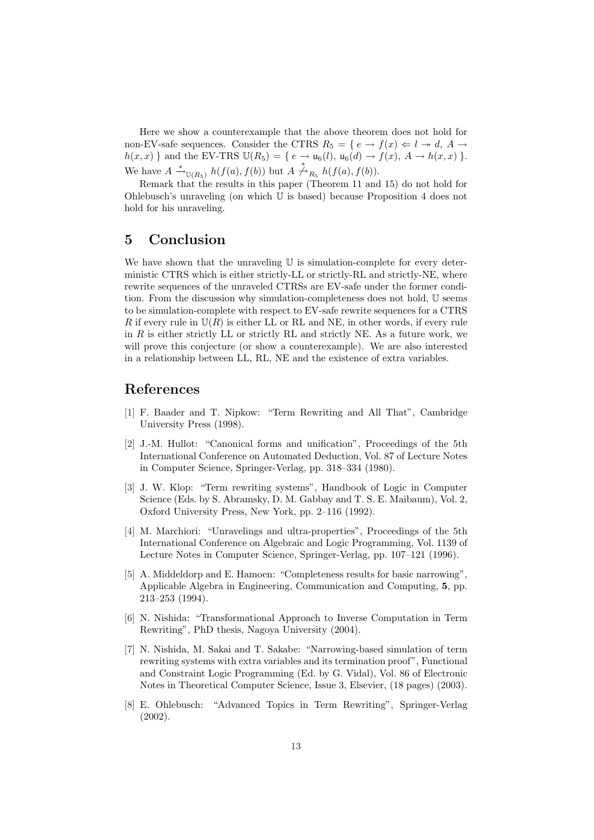Here we show a counterexample that the above theorem does not hold for non-EV-safe sequences. Consider the CTRS  $R_5 = \{e \rightarrow f(x) \Leftarrow l \rightarrow d, A \rightarrow c \}$  $h(x, x)$  } and the EV-TRS  $\mathbb{U}(R_5) = \{ e \to \mathsf{u}_6(l), \mathsf{u}_6(d) \to f(x), A \to h(x, x) \}.$ We have  $A \xrightarrow{*} U(R_5) h(f(a), f(b))$  but  $A \nightharpoonup R_5 h(f(a), f(b))$ .

Remark that the results in this paper (Theorem 11 and 15) do not hold for Ohlebusch's unraveling (on which U is based) because Proposition 4 does not hold for his unraveling.

## **5 Conclusion**

We have shown that the unraveling  $U$  is simulation-complete for every deterministic CTRS which is either strictly-LL or strictly-RL and strictly-NE, where rewrite sequences of the unraveled CTRSs are EV-safe under the former condition. From the discussion why simulation-completeness does not hold, U seems to be simulation-complete with respect to EV-safe rewrite sequences for a CTRS *R* if every rule in  $\mathbb{U}(R)$  is either LL or RL and NE, in other words, if every rule in *R* is either strictly LL or strictly RL and strictly NE. As a future work, we will prove this conjecture (or show a counterexample). We are also interested in a relationship between LL, RL, NE and the existence of extra variables.

## **References**

- [1] F. Baader and T. Nipkow: "Term Rewriting and All That", Cambridge University Press (1998).
- [2] J.-M. Hullot: "Canonical forms and unification", Proceedings of the 5th International Conference on Automated Deduction, Vol. 87 of Lecture Notes in Computer Science, Springer-Verlag, pp. 318–334 (1980).
- [3] J. W. Klop: "Term rewriting systems", Handbook of Logic in Computer Science (Eds. by S. Abramsky, D. M. Gabbay and T. S. E. Maibaum), Vol. 2, Oxford University Press, New York, pp. 2–116 (1992).
- [4] M. Marchiori: "Unravelings and ultra-properties", Proceedings of the 5th International Conference on Algebraic and Logic Programming, Vol. 1139 of Lecture Notes in Computer Science, Springer-Verlag, pp. 107–121 (1996).
- [5] A. Middeldorp and E. Hamoen: "Completeness results for basic narrowing", Applicable Algebra in Engineering, Communication and Computing, **5**, pp. 213–253 (1994).
- [6] N. Nishida: "Transformational Approach to Inverse Computation in Term Rewriting", PhD thesis, Nagoya University (2004).
- [7] N. Nishida, M. Sakai and T. Sakabe: "Narrowing-based simulation of term rewriting systems with extra variables and its termination proof", Functional and Constraint Logic Programming (Ed. by G. Vidal), Vol. 86 of Electronic Notes in Theoretical Computer Science, Issue 3, Elsevier, (18 pages) (2003).
- [8] E. Ohlebusch: "Advanced Topics in Term Rewriting", Springer-Verlag (2002).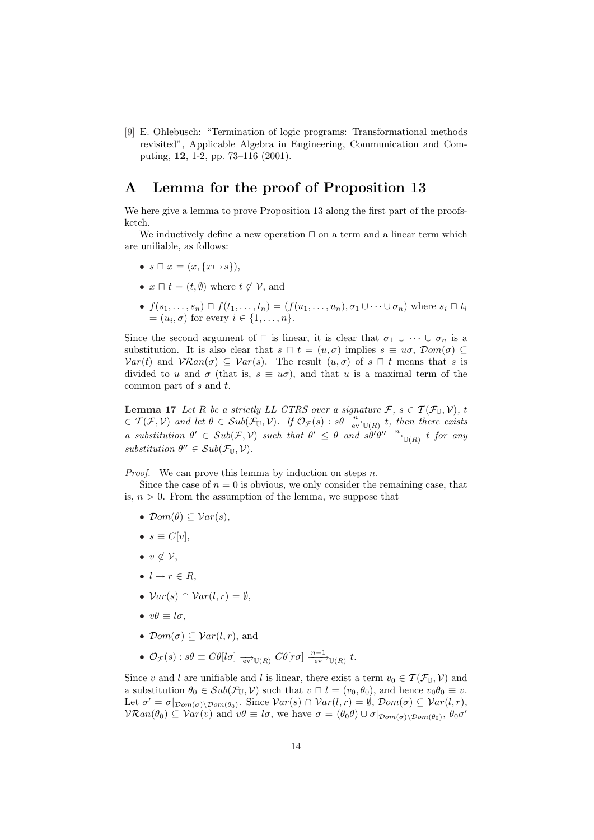[9] E. Ohlebusch: "Termination of logic programs: Transformational methods revisited", Applicable Algebra in Engineering, Communication and Computing, **12**, 1-2, pp. 73–116 (2001).

## **A Lemma for the proof of Proposition 13**

We here give a lemma to prove Proposition 13 along the first part of the proofsketch.

We inductively define a new operation  $\sqcap$  on a term and a linear term which are unifiable, as follows:

- $s \sqcap x = (x, \{x \mapsto s\})$ ,
- $x \sqcap t = (t, \emptyset)$  where  $t \notin \mathcal{V}$ , and
- $f(s_1,...,s_n) \sqcap f(t_1,...,t_n) = (f(u_1,...,u_n), \sigma_1 \cup \cdots \cup \sigma_n)$  where  $s_i \sqcap t_i$  $=(u_i, \sigma)$  for every  $i \in \{1, \ldots, n\}.$

Since the second argument of  $\Box$  is linear, it is clear that  $\sigma_1 \cup \cdots \cup \sigma_n$  is a substitution. It is also clear that  $s \sqcap t = (u, \sigma)$  implies  $s \equiv u\sigma$ ,  $\mathcal{D}om(\sigma) \subseteq$  $Var(t)$  and  $VARan(\sigma) \subseteq Var(s)$ . The result  $(u, \sigma)$  of  $s \sqcap t$  means that *s* is divided to *u* and  $\sigma$  (that is,  $s \equiv u\sigma$ ), and that *u* is a maximal term of the common part of *s* and *t*.

**Lemma 17** *Let R be a strictly LL CTRS over a signature*  $\mathcal{F}, s \in \mathcal{T}(\mathcal{F}_{\mathbb{U}}, \mathcal{V}), t$  $\in \mathcal{T}(\mathcal{F}, \mathcal{V})$  and let  $\theta \in Sub(\mathcal{F}_{\mathbb{U}}, \mathcal{V})$ . If  $\mathcal{O}_{\mathcal{F}}(s)$  :  $s\theta \int_{\mathbb{R}^N}^{\infty} v(x) dx$ , then there exists a substitution  $\theta' \in Sub(\mathcal{F}, \mathcal{V})$  such that  $\theta' \leq \theta$  and  $s\theta'\theta'' \stackrel{n}{\longrightarrow}_{\mathbb{U}(R)} t$  for any  $substitution \ \theta'' \in Sub(\mathcal{F}_{\mathbb{U}}, \mathcal{V})$ *.* 

*Proof.* We can prove this lemma by induction on steps *n*.

Since the case of  $n = 0$  is obvious, we only consider the remaining case, that is,  $n > 0$ . From the assumption of the lemma, we suppose that

- $\mathcal{D}om(\theta) \subseteq \mathcal{V}ar(s)$ ,
- $s \equiv C[v],$
- *• v 6∈ V*,
- $\bullet$   $l \rightarrow r \in R$ ,
- $Var(s) \cap Var(l, r) = \emptyset$ ,
- $v\theta \equiv l\sigma$ ,
- $\mathcal{D}om(\sigma) \subseteq \mathcal{V}ar(l,r)$ , and
- $\mathcal{O}_{\mathcal{F}}(s)$ :  $s\theta \equiv C\theta[l\sigma] \xrightarrow[\text{ev}]{\text{ev}} \mathbb{U}(R) C\theta[r\sigma] \xrightarrow[\text{ev}]{n-1} \mathbb{U}(R) t$ .

Since *v* and *l* are unifiable and *l* is linear, there exist a term  $v_0 \in \mathcal{T}(\mathcal{F}_{\mathbb{U}}, \mathcal{V})$  and a substitution  $\theta_0 \in Sub(\mathcal{F}_{\mathbb{U}}, \mathcal{V})$  such that  $v \sqcap l = (v_0, \theta_0)$ , and hence  $v_0 \theta_0 \equiv v$ . Let  $\sigma' = \sigma|_{\mathcal{D}om(\sigma) \setminus \mathcal{D}om(\theta_0)}$ . Since  $\mathcal{V}ar(s) \cap \mathcal{V}ar(l,r) = \emptyset$ ,  $\mathcal{D}om(\sigma) \subseteq \mathcal{V}ar(l,r)$ ,  $\mathcal{V}\mathcal{R}an(\theta_0) \subseteq \mathcal{V}ar(v)$  and  $v\theta \equiv l\sigma$ , we have  $\sigma = (\theta_0\theta) \cup \sigma|_{\mathcal{D}om(\sigma)\setminus \mathcal{D}om(\theta_0)}, \theta_0\sigma'$